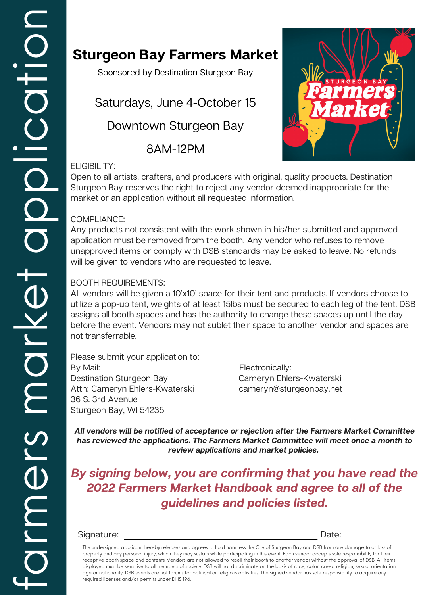## **Sturgeon Bay Farmers Market**

Sponsored by Destination Sturgeon Bay

Saturdays, June 4-October 15

Downtown Sturgeon Bay

8AM-12PM



#### ELIGIBILITY:

Open to all artists, crafters, and producers with original, quality products. Destination Sturgeon Bay reserves the right to reject any vendor deemed inappropriate for the market or an application without all requested information.

### COMPLIANCE:

 Any products not consistent with the work shown in his/her submitted and approved application must be removed from the booth. Any vendor who refuses to remove unapproved items or comply with DSB standards may be asked to leave. No refunds will be given to vendors who are requested to leave.

### BOOTH REQUIREMENTS:

 not transferrable. assigns all booth spaces and has the authority to change these spaces up until the day All vendors will be given a 10'x10' space for their tent and products. If vendors choose to utilize a pop-up tent, weights of at least 15lbs must be secured to each leg of the tent. DSB before the event. Vendors may not sublet their space to another vendor and spaces are

Destination Sturgeon Bay **Cameryn Ehlers-Kwaterski** Please submit your application to: By Mail: Electronically: Attn: Cameryn Ehlers-Kwaterski cameryn@sturgeonbay.net 36 S. 3rd Avenue Sturgeon Bay, WI 54235

**All vendors will be notified of acceptance or rejection after the Farmers Market Committee has reviewed the applications. The Farmers Market Committee will meet once a month to review applications and market policies.**

 **2022 Farmers Market Handbook and agree to all of the By signing below, you are confirming that you have read the guidelines and policies listed.**

### Signature: Date: Date: Date: Date: Date: Date: Date: Date: Date: Date: Date: Date: Date: Date: Date: Date: Date: Date: Date: Date: Date: Date: Date: Date: Date: Date: Date: Date: Date: Date: Date: Date: Date: Date: Date: D

 required licenses and/or permits under DHS 196.The undersigned applicant hereby releases and agrees to hold harmless the City of Sturgeon Bay and DSB from any damage to or loss of property and any personal injury, which they may sustain while participating in this event. Each vendor accepts sole responsibility for their receptive booth space and contents. Vendors are not allowed to resell their booth to another vendor without the approval of DSB. All items displayed must be sensitive to all members of society. DSB will not discriminate on the basis of race, color, creed religion, sexual orientation, age or nationality. DSB events are not forums for political or religious activities. The signed vendor has sole responsibility to acquire any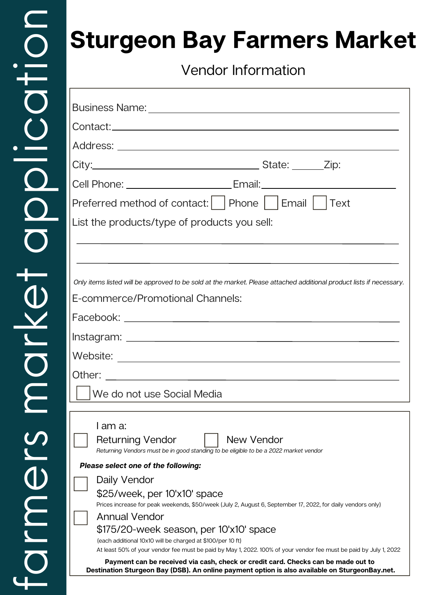# **Sturgeon Bay Farmers Market**

Vendor Information

| Cell Phone: _______________________________Email: ______________________________                                                                                                    |  |  |  |
|-------------------------------------------------------------------------------------------------------------------------------------------------------------------------------------|--|--|--|
| Preferred method of contact:     Phone     Email     Text                                                                                                                           |  |  |  |
| List the products/type of products you sell:                                                                                                                                        |  |  |  |
|                                                                                                                                                                                     |  |  |  |
|                                                                                                                                                                                     |  |  |  |
| Only items listed will be approved to be sold at the market. Please attached additional product lists if necessary.                                                                 |  |  |  |
| E-commerce/Promotional Channels:                                                                                                                                                    |  |  |  |
|                                                                                                                                                                                     |  |  |  |
|                                                                                                                                                                                     |  |  |  |
|                                                                                                                                                                                     |  |  |  |
|                                                                                                                                                                                     |  |  |  |
| We do not use Social Media                                                                                                                                                          |  |  |  |
|                                                                                                                                                                                     |  |  |  |
| I am a:                                                                                                                                                                             |  |  |  |
| New Vendor<br><b>Returning Vendor</b><br>Returning Vendors must be in good standing to be eligible to be a 2022 market vendor                                                       |  |  |  |
| Please select one of the following:                                                                                                                                                 |  |  |  |
| Daily Vendor                                                                                                                                                                        |  |  |  |
| \$25/week, per 10'x10' space<br>Prices increase for peak weekends, \$50/week (July 2, August 6, September 17, 2022, for daily vendors only)                                         |  |  |  |
| <b>Annual Vendor</b>                                                                                                                                                                |  |  |  |
| \$175/20-week season, per 10'x10' space                                                                                                                                             |  |  |  |
| (each additional 10x10 will be charged at \$100/per 10 ft)<br>At least 50% of your vendor fee must be paid by May 1, 2022. 100% of your vendor fee must be paid by July 1, 2022     |  |  |  |
| Payment can be received via cash, check or credit card. Checks can be made out to<br>Destination Sturgeon Bay (DSB). An online payment option is also available on SturgeonBay.net. |  |  |  |